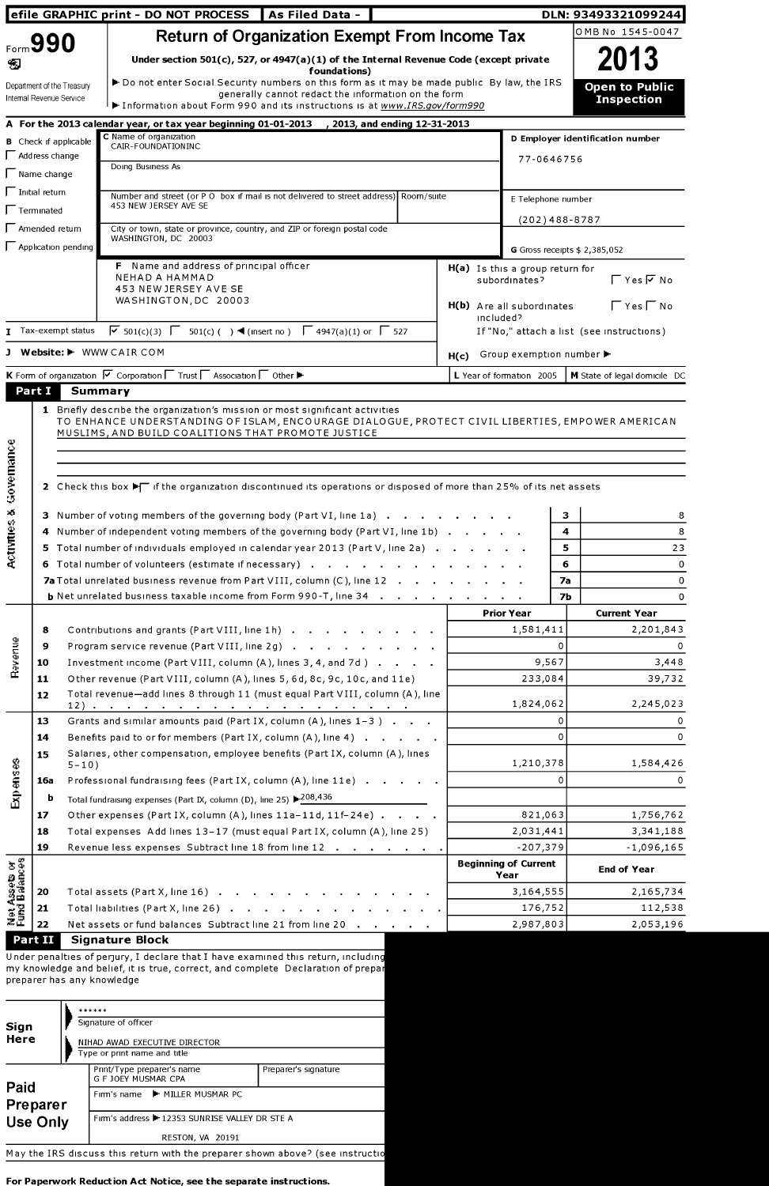| efile GRAPHIC print - DO NOT PROCESS   As Filed Data -                    |                                                                                                                                                                                                             |                                                      |                                     | OMB No 1545-0047                                                                                                         |  |  |  |  |  |
|---------------------------------------------------------------------------|-------------------------------------------------------------------------------------------------------------------------------------------------------------------------------------------------------------|------------------------------------------------------|-------------------------------------|--------------------------------------------------------------------------------------------------------------------------|--|--|--|--|--|
| Form 990                                                                  |                                                                                                                                                                                                             | <b>Return of Organization Exempt From Income Tax</b> |                                     |                                                                                                                          |  |  |  |  |  |
| Ð                                                                         | Under section $501(c)$ , 527, or 4947(a)(1) of the Internal Revenue Code (except private<br>foundations)                                                                                                    |                                                      |                                     | 2013                                                                                                                     |  |  |  |  |  |
|                                                                           | Do not enter Social Security numbers on this form as it may be made public By law, the IRS<br>Department of the Treasury<br>generally cannot redact the information on the form<br>Internal Revenue Service |                                                      |                                     | <b>Open to Public</b><br><b>Inspection</b>                                                                               |  |  |  |  |  |
|                                                                           | Information about Form 990 and its instructions is at www.IRS.gov/form990                                                                                                                                   |                                                      |                                     |                                                                                                                          |  |  |  |  |  |
|                                                                           | A For the 2013 calendar year, or tax year beginning 01-01-2013 , 2013, and ending 12-31-2013<br>C Name of organization                                                                                      |                                                      |                                     | D Employer identification number                                                                                         |  |  |  |  |  |
| $\Box$ Address change                                                     | <b>B</b> Check if applicable<br>CAIR-FOUNDATIONINC                                                                                                                                                          |                                                      |                                     |                                                                                                                          |  |  |  |  |  |
|                                                                           | Doing Business As                                                                                                                                                                                           |                                                      | 77-0646756                          |                                                                                                                          |  |  |  |  |  |
| Name change                                                               |                                                                                                                                                                                                             |                                                      |                                     |                                                                                                                          |  |  |  |  |  |
| -<br>Initial return                                                       | Number and street (or P O box if mail is not delivered to street address) Room/suite<br>453 NEW JERSEY AVE SE                                                                                               |                                                      | E Telephone number                  |                                                                                                                          |  |  |  |  |  |
| Terminated                                                                |                                                                                                                                                                                                             |                                                      |                                     |                                                                                                                          |  |  |  |  |  |
| -<br>Amended return                                                       | City or town, state or province, country, and ZIP or foreign postal code<br>WASHINGTON, DC 20003                                                                                                            |                                                      | $(202)$ 488-8787                    |                                                                                                                          |  |  |  |  |  |
|                                                                           | Application pending                                                                                                                                                                                         |                                                      |                                     | G Gross receipts $$2,385,052$                                                                                            |  |  |  |  |  |
|                                                                           | F Name and address of principal officer<br>NEHAD A HAMMAD                                                                                                                                                   |                                                      | $H(a)$ Is this a group return for   |                                                                                                                          |  |  |  |  |  |
|                                                                           | 453 NEW JERSEY AVE SE                                                                                                                                                                                       |                                                      | subordinates?                       | $\Gamma$ Yes $\overline{V}$ No                                                                                           |  |  |  |  |  |
|                                                                           | WASHINGTON, DC 20003                                                                                                                                                                                        | H(b) Are all subordinates                            | $\Gamma$ Yes $\Gamma$ No            |                                                                                                                          |  |  |  |  |  |
|                                                                           |                                                                                                                                                                                                             | included?                                            |                                     |                                                                                                                          |  |  |  |  |  |
|                                                                           | $\sqrt{6}$ 501(c)(3) $\sqrt{6}$ 501(c)( ) ◀ (insert no) $\sqrt{6}$ 4947(a)(1) or $\sqrt{6}$ 527<br>Tax-exempt status                                                                                        | If "No," attach a list (see instructions)            |                                     |                                                                                                                          |  |  |  |  |  |
|                                                                           | <b>Website: ►</b> WWW CAIR COM                                                                                                                                                                              | Group exemption number ▶<br>H(c)                     |                                     |                                                                                                                          |  |  |  |  |  |
|                                                                           | K Form of organization V Corporation IT Trust IT Association IT Other                                                                                                                                       |                                                      | L Year of formation 2005            | M State of legal domicile DC                                                                                             |  |  |  |  |  |
| Part I                                                                    | <b>Summary</b>                                                                                                                                                                                              |                                                      |                                     |                                                                                                                          |  |  |  |  |  |
|                                                                           | MUSLIMS, AND BUILD COALITIONS THAT PROMOTE JUSTICE<br>2 Check this box $\blacktriangleright$ if the organization discontinued its operations or disposed of more than 25% of its net assets                 |                                                      |                                     |                                                                                                                          |  |  |  |  |  |
|                                                                           | 3 Number of voting members of the governing body (Part VI, line 1a)<br>4 Number of independent voting members of the governing body (Part VI, line 1b)                                                      |                                                      |                                     | з<br>4                                                                                                                   |  |  |  |  |  |
|                                                                           | 5 Total number of individuals employed in calendar year 2013 (Part V, line 2a)                                                                                                                              |                                                      |                                     | 5<br>23                                                                                                                  |  |  |  |  |  |
|                                                                           | 6 Total number of volunteers (estimate if necessary)                                                                                                                                                        |                                                      |                                     | 6                                                                                                                        |  |  |  |  |  |
|                                                                           | 7a Total unrelated business revenue from Part VIII, column (C), line 12                                                                                                                                     |                                                      |                                     | <b>7a</b>                                                                                                                |  |  |  |  |  |
|                                                                           |                                                                                                                                                                                                             |                                                      |                                     | 7Ь                                                                                                                       |  |  |  |  |  |
|                                                                           |                                                                                                                                                                                                             |                                                      | <b>Prior Year</b>                   | <b>Current Year</b>                                                                                                      |  |  |  |  |  |
| 8                                                                         | Contributions and grants (Part VIII, line 1h)                                                                                                                                                               |                                                      | 1,581,411                           |                                                                                                                          |  |  |  |  |  |
| 9                                                                         | Program service revenue (Part VIII, line 2g)                                                                                                                                                                |                                                      | 0                                   |                                                                                                                          |  |  |  |  |  |
| 10                                                                        | Investment income (Part VIII, column (A), lines 3, 4, and 7d)                                                                                                                                               |                                                      | 9,567                               |                                                                                                                          |  |  |  |  |  |
| 11                                                                        | Other revenue (Part VIII, column (A), lines 5, 6d, 8c, 9c, 10c, and 11e)                                                                                                                                    |                                                      | 233,084                             |                                                                                                                          |  |  |  |  |  |
| 12                                                                        | Total revenue-add lines 8 through 11 (must equal Part VIII, column (A), line                                                                                                                                |                                                      | 1,824,062                           |                                                                                                                          |  |  |  |  |  |
| 13                                                                        | Grants and similar amounts paid (Part IX, column (A), lines 1-3)                                                                                                                                            |                                                      | 0                                   |                                                                                                                          |  |  |  |  |  |
| 14                                                                        | Benefits paid to or for members (Part IX, column (A), line 4)                                                                                                                                               |                                                      | $\Omega$                            |                                                                                                                          |  |  |  |  |  |
| 15                                                                        | Salaries, other compensation, employee benefits (Part IX, column (A), lines                                                                                                                                 |                                                      | 1,210,378                           |                                                                                                                          |  |  |  |  |  |
| 16a                                                                       | $5 - 10$ )<br>Professional fundraising fees (Part IX, column (A), line 11e)                                                                                                                                 |                                                      | 0                                   |                                                                                                                          |  |  |  |  |  |
| b                                                                         |                                                                                                                                                                                                             |                                                      |                                     |                                                                                                                          |  |  |  |  |  |
| 17                                                                        | Total fundraising expenses (Part IX, column (D), line 25) $\blacktriangleright$ 208,436<br>Other expenses (Part IX, column (A), lines 11a-11d, 11f-24e)                                                     |                                                      | 821,063                             |                                                                                                                          |  |  |  |  |  |
| 18                                                                        | Total expenses Add lines 13-17 (must equal Part IX, column (A), line 25)                                                                                                                                    |                                                      | 2,031,441                           |                                                                                                                          |  |  |  |  |  |
| 19                                                                        | Revenue less expenses Subtract line 18 from line 12                                                                                                                                                         |                                                      | $-207,379$                          |                                                                                                                          |  |  |  |  |  |
|                                                                           |                                                                                                                                                                                                             |                                                      | <b>Beginning of Current</b><br>Year | <b>End of Year</b>                                                                                                       |  |  |  |  |  |
| 20                                                                        | Total assets (Part X, line 16)                                                                                                                                                                              |                                                      | 3,164,555                           |                                                                                                                          |  |  |  |  |  |
| <b>Revenue</b><br>Expenses<br><b>Net Assets or</b><br>Fund Balances<br>21 | Total liabilities (Part X, line 26)                                                                                                                                                                         |                                                      | 176,752                             | 2,201,843<br>3,448<br>39,732<br>2,245,023<br>1,584,426<br>1,756,762<br>3,341,188<br>$-1,096,165$<br>2,165,734<br>112,538 |  |  |  |  |  |

Under penalties of perjury, <sup>I</sup> declare that <sup>I</sup> have examined this return, includin my knowledge and belief, it is true, correct, and complete Declaration of preps preparer has any knowledge

|                  |  |  | ******                                                                                                                                                                                                                            |                      |  |  |  |  |  |  |  |  |
|------------------|--|--|-----------------------------------------------------------------------------------------------------------------------------------------------------------------------------------------------------------------------------------|----------------------|--|--|--|--|--|--|--|--|
| Sign             |  |  | Signature of officer                                                                                                                                                                                                              |                      |  |  |  |  |  |  |  |  |
| Here             |  |  | NIHAD AWAD EXECUTIVE DIRECTOR                                                                                                                                                                                                     |                      |  |  |  |  |  |  |  |  |
|                  |  |  | Type or print name and title                                                                                                                                                                                                      |                      |  |  |  |  |  |  |  |  |
|                  |  |  | Print/Type preparer's name<br>G F JOEY MUSMAR CPA                                                                                                                                                                                 | Preparer's signature |  |  |  |  |  |  |  |  |
| Paid<br>Preparer |  |  | Firm's name ► MILLER MUSMAR PC                                                                                                                                                                                                    |                      |  |  |  |  |  |  |  |  |
| <b>Use Only</b>  |  |  | Firm's address + 12353 SUNRISE VALLEY DR STE A                                                                                                                                                                                    |                      |  |  |  |  |  |  |  |  |
|                  |  |  | <b>RESTON, VA 20191</b>                                                                                                                                                                                                           |                      |  |  |  |  |  |  |  |  |
|                  |  |  | $\mathbf{M}$ at the time is a set of the contract of the contract of the contract of the contract of the contract of the contract of the contract of the contract of the contract of the contract of the contract of the contract |                      |  |  |  |  |  |  |  |  |

May the IRS discuss this return with the preparer shown above? (see instruction

For Paperwork Reduction Act Notice, see the separate instructions.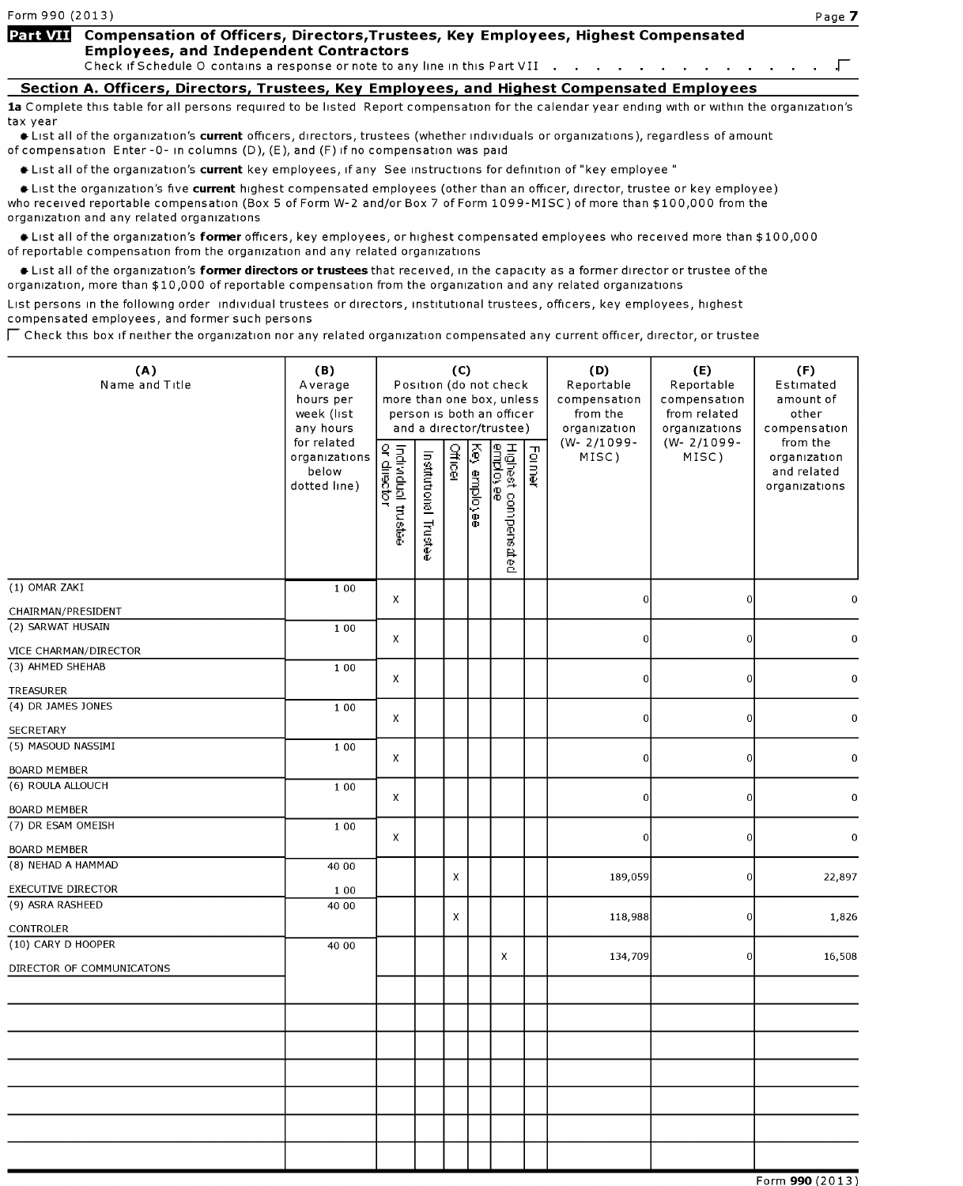## Part VII Compensation of Officers, Directors, Trustees, Key Employees, Highest Compensated Employees, and Independent Contractors

Check if Schedule O contains a response or note to any line in this Part VII . . . . . . . . . . . . . .  $\Box$ 

## Section A. Officers, Directors, Trustees, Kev Employees, and Highest Compensated Employees

1a Complete this table for all persons required to be listed Report compensation for the calendar year ending with or within the organization's tax year

\* List all of the organization's current officers, directors, trustees (whether individuals or organizations), regardless of amount of compensation Enter-0- in columns (D), (E), and (F) if no compensation was paid

\* List all of the organization's current key employees, if any See instructions for definition of "key employee "

\* List the organization's five current highest compensated employees (other than an officer, director, trustee or key employee) who received reportable compensation (Box <sup>5</sup> of Form W-2 and/or Box 7 of Form 1099-MISC) of more than \$100,000 from the organization and any related organizations

 $\bullet$  List all of the organization's former officers, key employees, or highest compensated employees who received more than \$100,000 of reportable compensation from the organization and any related organizations

**Example 1** List all of the organization's former directors or trustees that received, in the capacity as a former director or trustee of the organization, more than \$10,000 of reportable compensation from the organization and any related organizations

List persons in the following order individual trustees or directors, institutional trustees, officers, key employees, highest compensated employees, and former such persons

 $\sqcap$  Check this box if neither the organization nor any related organization compensated any current officer, director, or trustee

| (A)<br>Name and Title     | (B)<br>Average<br>hours per<br>week (list<br>any hours<br>for related | (C)<br>Position (do not check<br>more than one box, unless<br>person is both an officer<br>and a director/trustee) |                       |                |              |                                        |        | (D)<br>Reportable<br>compensation<br>from the<br>organization<br>$(W - 2/1099 -$ | (E)<br>Reportable<br>compensation<br>from related<br>organizations<br>$(W - 2/1099 -$ | (F)<br>Estimated<br>amount of<br>other<br>compensation   |
|---------------------------|-----------------------------------------------------------------------|--------------------------------------------------------------------------------------------------------------------|-----------------------|----------------|--------------|----------------------------------------|--------|----------------------------------------------------------------------------------|---------------------------------------------------------------------------------------|----------------------------------------------------------|
|                           | organizations<br>below<br>dotted line)                                | Individual trustee<br>or director                                                                                  | Institutional Trustee | <b>Officer</b> | Key employee | Highest compensated<br><u>employee</u> | Former | MISC)                                                                            | MISC)                                                                                 | from the<br>organization<br>and related<br>organizations |
| (1) OMAR ZAKI             | 1 0 0                                                                 | X                                                                                                                  |                       |                |              |                                        |        | $\boldsymbol{0}$                                                                 | $\vert 0 \vert$                                                                       | 0                                                        |
| CHAIRMAN/PRESIDENT        |                                                                       |                                                                                                                    |                       |                |              |                                        |        |                                                                                  |                                                                                       |                                                          |
| (2) SARWAT HUSAIN         | 1 0 0                                                                 | X                                                                                                                  |                       |                |              |                                        |        | $\overline{0}$                                                                   | $\vert 0 \vert$                                                                       | 0                                                        |
| VICE CHARMAN/DIRECTOR     |                                                                       |                                                                                                                    |                       |                |              |                                        |        |                                                                                  |                                                                                       |                                                          |
| (3) AHMED SHEHAB          | 1 0 0                                                                 | X                                                                                                                  |                       |                |              |                                        |        | $\overline{0}$                                                                   | 0                                                                                     | 0                                                        |
| TREASURER                 |                                                                       |                                                                                                                    |                       |                |              |                                        |        |                                                                                  |                                                                                       |                                                          |
| (4) DR JAMES JONES        | 1 0 0                                                                 | $\pmb{\times}$                                                                                                     |                       |                |              |                                        |        | $\boldsymbol{0}$                                                                 | $\vert 0 \vert$                                                                       | 0                                                        |
| SECRETARY                 |                                                                       |                                                                                                                    |                       |                |              |                                        |        |                                                                                  |                                                                                       |                                                          |
| (5) MASOUD NASSIMI        | 1 0 0                                                                 | x                                                                                                                  |                       |                |              |                                        |        | $\overline{0}$                                                                   | $\overline{0}$                                                                        | $\pmb{0}$                                                |
| BOARD MEMBER              |                                                                       |                                                                                                                    |                       |                |              |                                        |        |                                                                                  |                                                                                       |                                                          |
| (6) ROULA ALLOUCH         | 1 0 0                                                                 | X                                                                                                                  |                       |                |              |                                        |        | $\overline{0}$                                                                   | $\vert 0 \vert$                                                                       | 0                                                        |
| <b>BOARD MEMBER</b>       |                                                                       |                                                                                                                    |                       |                |              |                                        |        |                                                                                  |                                                                                       |                                                          |
| (7) DR ESAM OMEISH        | 1 0 0                                                                 | x                                                                                                                  |                       |                |              |                                        |        | $\overline{0}$                                                                   | 0                                                                                     | 0                                                        |
| BOARD MEMBER              |                                                                       |                                                                                                                    |                       |                |              |                                        |        |                                                                                  |                                                                                       |                                                          |
| (8) NEHAD A HAMMAD        | 40 00                                                                 |                                                                                                                    |                       |                |              |                                        |        |                                                                                  |                                                                                       |                                                          |
| <b>EXECUTIVE DIRECTOR</b> | 1 0 0                                                                 |                                                                                                                    |                       | x              |              |                                        |        | 189,059                                                                          | $\vert 0 \vert$                                                                       | 22,897                                                   |
| (9) ASRA RASHEED          | 40 00                                                                 |                                                                                                                    |                       |                |              |                                        |        |                                                                                  |                                                                                       |                                                          |
| CONTROLER                 |                                                                       |                                                                                                                    |                       | x              |              |                                        |        | 118,988                                                                          | 0                                                                                     | 1,826                                                    |
| (10) CARY D HOOPER        | 40 00                                                                 |                                                                                                                    |                       |                |              |                                        |        |                                                                                  |                                                                                       |                                                          |
| DIRECTOR OF COMMUNICATONS |                                                                       |                                                                                                                    |                       |                |              | X                                      |        | 134,709                                                                          | 0                                                                                     | 16,508                                                   |
|                           |                                                                       |                                                                                                                    |                       |                |              |                                        |        |                                                                                  |                                                                                       |                                                          |
|                           |                                                                       |                                                                                                                    |                       |                |              |                                        |        |                                                                                  |                                                                                       |                                                          |
|                           |                                                                       |                                                                                                                    |                       |                |              |                                        |        |                                                                                  |                                                                                       |                                                          |
|                           |                                                                       |                                                                                                                    |                       |                |              |                                        |        |                                                                                  |                                                                                       |                                                          |
|                           |                                                                       |                                                                                                                    |                       |                |              |                                        |        |                                                                                  |                                                                                       |                                                          |
|                           |                                                                       |                                                                                                                    |                       |                |              |                                        |        |                                                                                  |                                                                                       |                                                          |
|                           |                                                                       |                                                                                                                    |                       |                |              |                                        |        |                                                                                  |                                                                                       |                                                          |
|                           |                                                                       |                                                                                                                    |                       |                |              |                                        |        |                                                                                  |                                                                                       |                                                          |
|                           |                                                                       |                                                                                                                    |                       |                |              |                                        |        |                                                                                  |                                                                                       |                                                          |
|                           |                                                                       |                                                                                                                    |                       |                |              |                                        |        |                                                                                  |                                                                                       | AA 122121                                                |

Form 990 (2013)